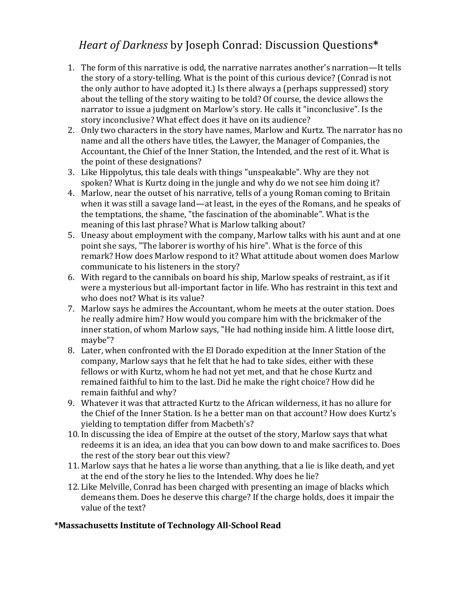## *Heart of Darkness* by Joseph Conrad: Discussion Questions\*

- 1. The form of this narrative is odd, the narrative narrates another's narration—It tells the story of a story-telling. What is the point of this curious device? (Conrad is not the only author to have adopted it.) Is there always a (perhaps suppressed) story about the telling of the story waiting to be told? Of course, the device allows the narrator to issue a judgment on Marlow's story. He calls it "inconclusive". Is the story inconclusive? What effect does it have on its audience?
- 2. Only two characters in the story have names, Marlow and Kurtz. The narrator has no name and all the others have titles, the Lawyer, the Manager of Companies, the Accountant, the Chief of the Inner Station, the Intended, and the rest of it. What is the point of these designations?
- 3. Like Hippolytus, this tale deals with things "unspeakable". Why are they not spoken? What is Kurtz doing in the jungle and why do we not see him doing it?
- 4. Marlow, near the outset of his narrative, tells of a young Roman coming to Britain when it was still a savage land—at least, in the eyes of the Romans, and he speaks of the temptations, the shame, "the fascination of the abominable". What is the meaning of this last phrase? What is Marlow talking about?
- 5. Uneasy about employment with the company, Marlow talks with his aunt and at one point she says, "The laborer is worthy of his hire". What is the force of this remark? How does Marlow respond to it? What attitude about women does Marlow communicate to his listeners in the story?
- 6. With regard to the cannibals on board his ship, Marlow speaks of restraint, as if it were a mysterious but all-important factor in life. Who has restraint in this text and who does not? What is its value?
- 7. Marlow says he admires the Accountant, whom he meets at the outer station. Does he really admire him? How would you compare him with the brickmaker of the inner station, of whom Marlow says, "He had nothing inside him. A little loose dirt, maybe"?
- 8. Later, when confronted with the El Dorado expedition at the Inner Station of the company, Marlow says that he felt that he had to take sides, either with these fellows or with Kurtz, whom he had not yet met, and that he chose Kurtz and remained faithful to him to the last. Did he make the right choice? How did he remain faithful and why?
- 9. Whatever it was that attracted Kurtz to the African wilderness, it has no allure for the Chief of the Inner Station. Is he a better man on that account? How does Kurtz's yielding to temptation differ from Macbeth's?
- 10. In discussing the idea of Empire at the outset of the story, Marlow says that what redeems it is an idea, an idea that you can bow down to and make sacrifices to. Does the rest of the story bear out this view?
- 11. Marlow says that he hates a lie worse than anything, that a lie is like death, and yet at the end of the story he lies to the Intended. Why does he lie?
- 12. Like Melville, Conrad has been charged with presenting an image of blacks which demeans them. Does he deserve this charge? If the charge holds, does it impair the value of the text?

## **\*Massachusetts Institute of Technology All-School Read**